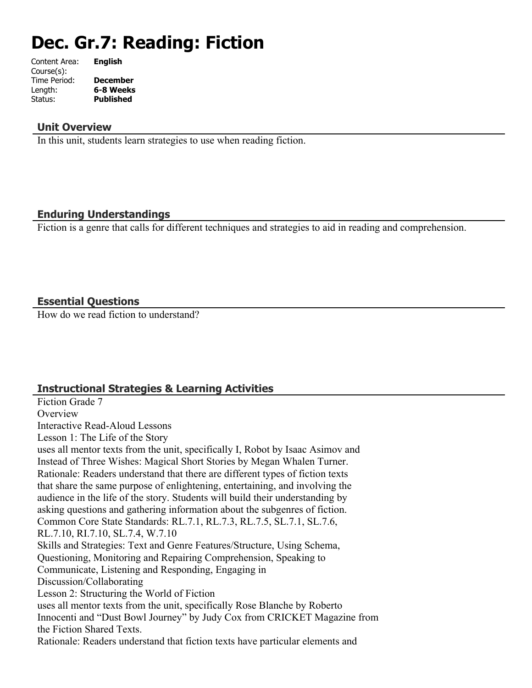# **Dec. Gr.7: Reading: Fiction**

| Content Area: | <b>English</b>  |
|---------------|-----------------|
| Course(s):    |                 |
| Time Period:  | <b>December</b> |
| Length:       | 6-8 Weeks       |
| Status:       | Published       |
|               |                 |

#### **Unit Overview**

In this unit, students learn strategies to use when reading fiction.

#### **Enduring Understandings**

Fiction is a genre that calls for different techniques and strategies to aid in reading and comprehension.

#### **Essential Questions**

How do we read fiction to understand?

# **Instructional Strategies & Learning Activities**

Fiction Grade 7 **Overview** Interactive Read-Aloud Lessons Lesson 1: The Life of the Story uses all mentor texts from the unit, specifically I, Robot by Isaac Asimov and Instead of Three Wishes: Magical Short Stories by Megan Whalen Turner. Rationale: Readers understand that there are different types of fiction texts that share the same purpose of enlightening, entertaining, and involving the audience in the life of the story. Students will build their understanding by asking questions and gathering information about the subgenres of fiction. Common Core State Standards: RL.7.1, RL.7.3, RL.7.5, SL.7.1, SL.7.6, RL.7.10, RI.7.10, SL.7.4, W.7.10 Skills and Strategies: Text and Genre Features/Structure, Using Schema, Questioning, Monitoring and Repairing Comprehension, Speaking to Communicate, Listening and Responding, Engaging in Discussion/Collaborating Lesson 2: Structuring the World of Fiction uses all mentor texts from the unit, specifically Rose Blanche by Roberto Innocenti and "Dust Bowl Journey" by Judy Cox from CRICKET Magazine from the Fiction Shared Texts. Rationale: Readers understand that fiction texts have particular elements and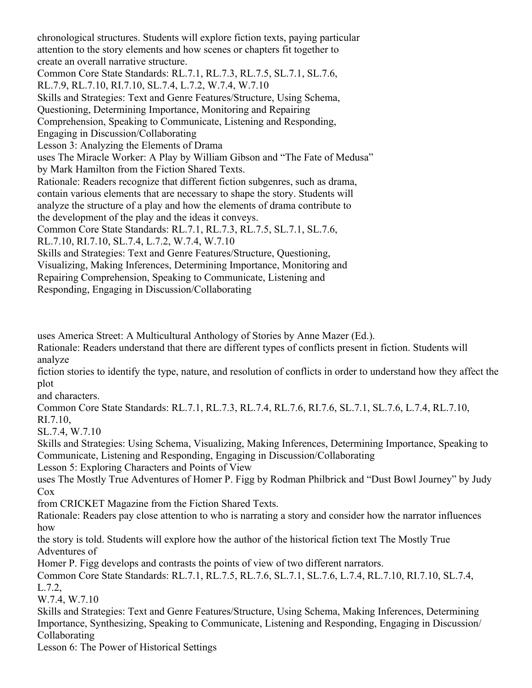chronological structures. Students will explore fiction texts, paying particular attention to the story elements and how scenes or chapters fit together to create an overall narrative structure. Common Core State Standards: RL.7.1, RL.7.3, RL.7.5, SL.7.1, SL.7.6, RL.7.9, RL.7.10, RI.7.10, SL.7.4, L.7.2, W.7.4, W.7.10 Skills and Strategies: Text and Genre Features/Structure, Using Schema, Questioning, Determining Importance, Monitoring and Repairing Comprehension, Speaking to Communicate, Listening and Responding, Engaging in Discussion/Collaborating Lesson 3: Analyzing the Elements of Drama uses The Miracle Worker: A Play by William Gibson and "The Fate of Medusa" by Mark Hamilton from the Fiction Shared Texts. Rationale: Readers recognize that different fiction subgenres, such as drama, contain various elements that are necessary to shape the story. Students will analyze the structure of a play and how the elements of drama contribute to the development of the play and the ideas it conveys. Common Core State Standards: RL.7.1, RL.7.3, RL.7.5, SL.7.1, SL.7.6, RL.7.10, RI.7.10, SL.7.4, L.7.2, W.7.4, W.7.10 Skills and Strategies: Text and Genre Features/Structure, Questioning, Visualizing, Making Inferences, Determining Importance, Monitoring and Repairing Comprehension, Speaking to Communicate, Listening and Responding, Engaging in Discussion/Collaborating

uses America Street: A Multicultural Anthology of Stories by Anne Mazer (Ed.).

Rationale: Readers understand that there are different types of conflicts present in fiction. Students will analyze

fiction stories to identify the type, nature, and resolution of conflicts in order to understand how they affect the plot

and characters.

Common Core State Standards: RL.7.1, RL.7.3, RL.7.4, RL.7.6, RI.7.6, SL.7.1, SL.7.6, L.7.4, RL.7.10, RI.7.10,

SL.7.4, W.7.10

Skills and Strategies: Using Schema, Visualizing, Making Inferences, Determining Importance, Speaking to Communicate, Listening and Responding, Engaging in Discussion/Collaborating

Lesson 5: Exploring Characters and Points of View

uses The Mostly True Adventures of Homer P. Figg by Rodman Philbrick and "Dust Bowl Journey" by Judy Cox

from CRICKET Magazine from the Fiction Shared Texts.

Rationale: Readers pay close attention to who is narrating a story and consider how the narrator influences how

the story is told. Students will explore how the author of the historical fiction text The Mostly True Adventures of

Homer P. Figg develops and contrasts the points of view of two different narrators.

Common Core State Standards: RL.7.1, RL.7.5, RL.7.6, SL.7.1, SL.7.6, L.7.4, RL.7.10, RI.7.10, SL.7.4, L.7.2,

W.7.4, W.7.10

Skills and Strategies: Text and Genre Features/Structure, Using Schema, Making Inferences, Determining Importance, Synthesizing, Speaking to Communicate, Listening and Responding, Engaging in Discussion/ Collaborating

Lesson 6: The Power of Historical Settings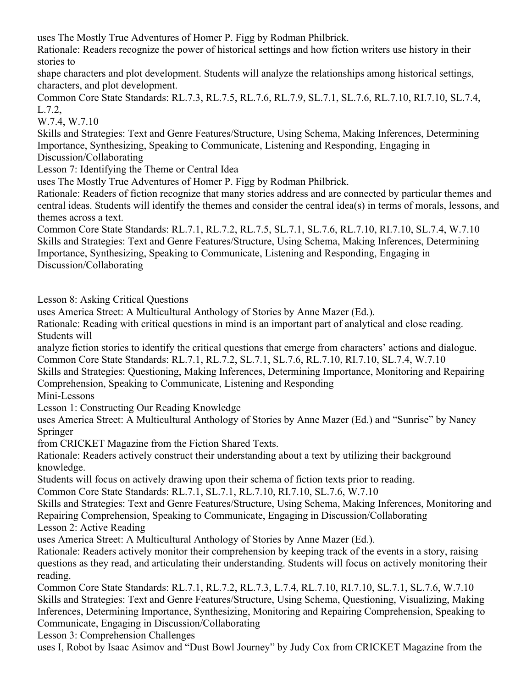uses The Mostly True Adventures of Homer P. Figg by Rodman Philbrick.

Rationale: Readers recognize the power of historical settings and how fiction writers use history in their stories to

shape characters and plot development. Students will analyze the relationships among historical settings, characters, and plot development.

Common Core State Standards: RL.7.3, RL.7.5, RL.7.6, RL.7.9, SL.7.1, SL.7.6, RL.7.10, RI.7.10, SL.7.4, L.7.2,

W.7.4, W.7.10

Skills and Strategies: Text and Genre Features/Structure, Using Schema, Making Inferences, Determining Importance, Synthesizing, Speaking to Communicate, Listening and Responding, Engaging in Discussion/Collaborating

Lesson 7: Identifying the Theme or Central Idea

uses The Mostly True Adventures of Homer P. Figg by Rodman Philbrick.

Rationale: Readers of fiction recognize that many stories address and are connected by particular themes and central ideas. Students will identify the themes and consider the central idea(s) in terms of morals, lessons, and themes across a text.

Common Core State Standards: RL.7.1, RL.7.2, RL.7.5, SL.7.1, SL.7.6, RL.7.10, RI.7.10, SL.7.4, W.7.10 Skills and Strategies: Text and Genre Features/Structure, Using Schema, Making Inferences, Determining Importance, Synthesizing, Speaking to Communicate, Listening and Responding, Engaging in Discussion/Collaborating

Lesson 8: Asking Critical Questions

uses America Street: A Multicultural Anthology of Stories by Anne Mazer (Ed.).

Rationale: Reading with critical questions in mind is an important part of analytical and close reading. Students will

analyze fiction stories to identify the critical questions that emerge from characters' actions and dialogue. Common Core State Standards: RL.7.1, RL.7.2, SL.7.1, SL.7.6, RL.7.10, RI.7.10, SL.7.4, W.7.10

Skills and Strategies: Questioning, Making Inferences, Determining Importance, Monitoring and Repairing Comprehension, Speaking to Communicate, Listening and Responding

Mini-Lessons

Lesson 1: Constructing Our Reading Knowledge

uses America Street: A Multicultural Anthology of Stories by Anne Mazer (Ed.) and "Sunrise" by Nancy Springer

from CRICKET Magazine from the Fiction Shared Texts.

Rationale: Readers actively construct their understanding about a text by utilizing their background knowledge.

Students will focus on actively drawing upon their schema of fiction texts prior to reading.

Common Core State Standards: RL.7.1, SL.7.1, RL.7.10, RI.7.10, SL.7.6, W.7.10

Skills and Strategies: Text and Genre Features/Structure, Using Schema, Making Inferences, Monitoring and Repairing Comprehension, Speaking to Communicate, Engaging in Discussion/Collaborating

Lesson 2: Active Reading

uses America Street: A Multicultural Anthology of Stories by Anne Mazer (Ed.).

Rationale: Readers actively monitor their comprehension by keeping track of the events in a story, raising questions as they read, and articulating their understanding. Students will focus on actively monitoring their reading.

Common Core State Standards: RL.7.1, RL.7.2, RL.7.3, L.7.4, RL.7.10, RI.7.10, SL.7.1, SL.7.6, W.7.10 Skills and Strategies: Text and Genre Features/Structure, Using Schema, Questioning, Visualizing, Making Inferences, Determining Importance, Synthesizing, Monitoring and Repairing Comprehension, Speaking to Communicate, Engaging in Discussion/Collaborating

Lesson 3: Comprehension Challenges

uses I, Robot by Isaac Asimov and "Dust Bowl Journey" by Judy Cox from CRICKET Magazine from the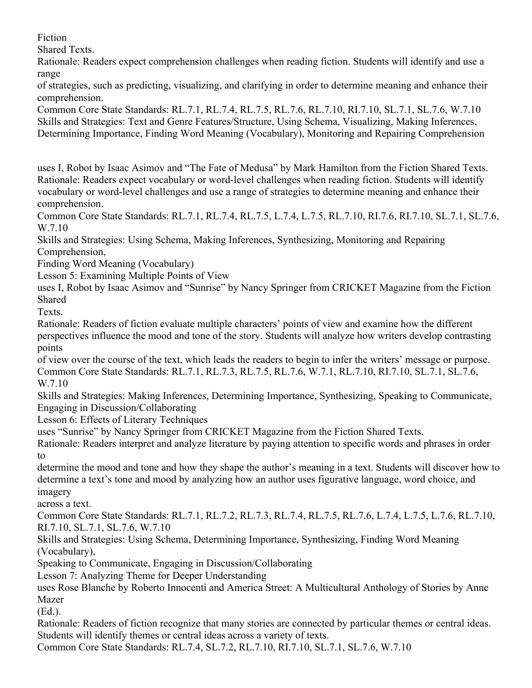Fiction

Shared Texts.

Rationale: Readers expect comprehension challenges when reading fiction. Students will identify and use a range

of strategies, such as predicting, visualizing, and clarifying in order to determine meaning and enhance their comprehension.

Common Core State Standards: RL.7.1, RL.7.4, RL.7.5, RL.7.6, RL.7.10, RI.7.10, SL.7.1, SL.7.6, W.7.10 Skills and Strategies: Text and Genre Features/Structure, Using Schema, Visualizing, Making Inferences, Determining Importance, Finding Word Meaning (Vocabulary), Monitoring and Repairing Comprehension

uses I, Robot by Isaac Asimov and "The Fate of Medusa" by Mark Hamilton from the Fiction Shared Texts. Rationale: Readers expect vocabulary or word-level challenges when reading fiction. Students will identify vocabulary or word-level challenges and use a range of strategies to determine meaning and enhance their comprehension.

Common Core State Standards: RL.7.1, RL.7.4, RL.7.5, L.7.4, L.7.5, RL.7.10, RI.7.6, RI.7.10, SL.7.1, SL.7.6, W.7.10

Skills and Strategies: Using Schema, Making Inferences, Synthesizing, Monitoring and Repairing Comprehension,

Finding Word Meaning (Vocabulary)

Lesson 5: Examining Multiple Points of View

uses I, Robot by Isaac Asimov and "Sunrise" by Nancy Springer from CRICKET Magazine from the Fiction Shared

Texts.

Rationale: Readers of fiction evaluate multiple characters' points of view and examine how the different perspectives influence the mood and tone of the story. Students will analyze how writers develop contrasting points

of view over the course of the text, which leads the readers to begin to infer the writers' message or purpose. Common Core State Standards: RL.7.1, RL.7.3, RL.7.5, RL.7.6, W.7.1, RL.7.10, RI.7.10, SL.7.1, SL.7.6, W.7.10

Skills and Strategies: Making Inferences, Determining Importance, Synthesizing, Speaking to Communicate, Engaging in Discussion/Collaborating

Lesson 6: Effects of Literary Techniques

uses "Sunrise" by Nancy Springer from CRICKET Magazine from the Fiction Shared Texts.

Rationale: Readers interpret and analyze literature by paying attention to specific words and phrases in order to

determine the mood and tone and how they shape the author's meaning in a text. Students will discover how to determine a text's tone and mood by analyzing how an author uses figurative language, word choice, and imagery

across a text.

Common Core State Standards: RL.7.1, RL.7.2, RL.7.3, RL.7.4, RL.7.5, RL.7.6, L.7.4, L.7.5, L.7.6, RL.7.10, RI.7.10, SL.7.1, SL.7.6, W.7.10

Skills and Strategies: Using Schema, Determining Importance, Synthesizing, Finding Word Meaning (Vocabulary),

Speaking to Communicate, Engaging in Discussion/Collaborating

Lesson 7: Analyzing Theme for Deeper Understanding

uses Rose Blanche by Roberto Innocenti and America Street: A Multicultural Anthology of Stories by Anne Mazer

(Ed.).

Rationale: Readers of fiction recognize that many stories are connected by particular themes or central ideas. Students will identify themes or central ideas across a variety of texts.

Common Core State Standards: RL.7.4, SL.7.2, RL.7.10, RI.7.10, SL.7.1, SL.7.6, W.7.10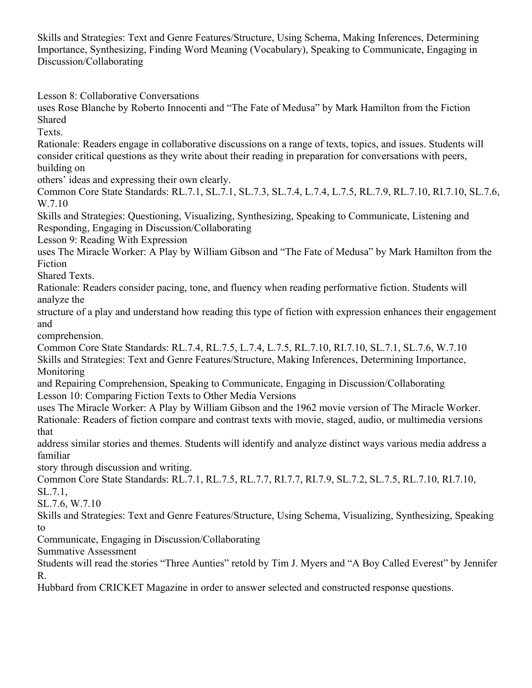Skills and Strategies: Text and Genre Features/Structure, Using Schema, Making Inferences, Determining Importance, Synthesizing, Finding Word Meaning (Vocabulary), Speaking to Communicate, Engaging in Discussion/Collaborating

Lesson 8: Collaborative Conversations

uses Rose Blanche by Roberto Innocenti and "The Fate of Medusa" by Mark Hamilton from the Fiction Shared

Texts.

Rationale: Readers engage in collaborative discussions on a range of texts, topics, and issues. Students will consider critical questions as they write about their reading in preparation for conversations with peers, building on

others' ideas and expressing their own clearly.

Common Core State Standards: RL.7.1, SL.7.1, SL.7.3, SL.7.4, L.7.4, L.7.5, RL.7.9, RL.7.10, RI.7.10, SL.7.6, W.7.10

Skills and Strategies: Questioning, Visualizing, Synthesizing, Speaking to Communicate, Listening and Responding, Engaging in Discussion/Collaborating

Lesson 9: Reading With Expression

uses The Miracle Worker: A Play by William Gibson and "The Fate of Medusa" by Mark Hamilton from the Fiction

Shared Texts.

Rationale: Readers consider pacing, tone, and fluency when reading performative fiction. Students will analyze the

structure of a play and understand how reading this type of fiction with expression enhances their engagement and

comprehension.

Common Core State Standards: RL.7.4, RL.7.5, L.7.4, L.7.5, RL.7.10, RI.7.10, SL.7.1, SL.7.6, W.7.10 Skills and Strategies: Text and Genre Features/Structure, Making Inferences, Determining Importance, **Monitoring** 

and Repairing Comprehension, Speaking to Communicate, Engaging in Discussion/Collaborating Lesson 10: Comparing Fiction Texts to Other Media Versions

uses The Miracle Worker: A Play by William Gibson and the 1962 movie version of The Miracle Worker. Rationale: Readers of fiction compare and contrast texts with movie, staged, audio, or multimedia versions that

address similar stories and themes. Students will identify and analyze distinct ways various media address a familiar

story through discussion and writing.

Common Core State Standards: RL.7.1, RL.7.5, RL.7.7, RI.7.7, RI.7.9, SL.7.2, SL.7.5, RL.7.10, RI.7.10, SL.7.1,

SL.7.6, W.7.10

Skills and Strategies: Text and Genre Features/Structure, Using Schema, Visualizing, Synthesizing, Speaking to

Communicate, Engaging in Discussion/Collaborating

Summative Assessment

Students will read the stories "Three Aunties" retold by Tim J. Myers and "A Boy Called Everest" by Jennifer R.

Hubbard from CRICKET Magazine in order to answer selected and constructed response questions.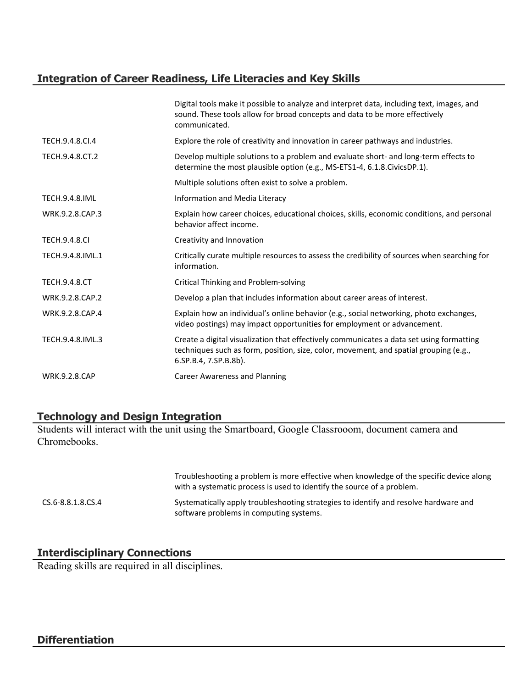# **Integration of Career Readiness, Life Literacies and Key Skills**

|                       | Digital tools make it possible to analyze and interpret data, including text, images, and<br>sound. These tools allow for broad concepts and data to be more effectively<br>communicated.                  |
|-----------------------|------------------------------------------------------------------------------------------------------------------------------------------------------------------------------------------------------------|
| TECH.9.4.8.CI.4       | Explore the role of creativity and innovation in career pathways and industries.                                                                                                                           |
| TECH.9.4.8.CT.2       | Develop multiple solutions to a problem and evaluate short- and long-term effects to<br>determine the most plausible option (e.g., MS-ETS1-4, 6.1.8.CivicsDP.1).                                           |
|                       | Multiple solutions often exist to solve a problem.                                                                                                                                                         |
| <b>TECH.9.4.8.IML</b> | Information and Media Literacy                                                                                                                                                                             |
| WRK.9.2.8.CAP.3       | Explain how career choices, educational choices, skills, economic conditions, and personal<br>behavior affect income.                                                                                      |
| <b>TECH.9.4.8.CI</b>  | Creativity and Innovation                                                                                                                                                                                  |
| TECH.9.4.8.IML.1      | Critically curate multiple resources to assess the credibility of sources when searching for<br>information.                                                                                               |
| <b>TECH.9.4.8.CT</b>  | <b>Critical Thinking and Problem-solving</b>                                                                                                                                                               |
| WRK.9.2.8.CAP.2       | Develop a plan that includes information about career areas of interest.                                                                                                                                   |
| WRK.9.2.8.CAP.4       | Explain how an individual's online behavior (e.g., social networking, photo exchanges,<br>video postings) may impact opportunities for employment or advancement.                                          |
| TECH.9.4.8.IML.3      | Create a digital visualization that effectively communicates a data set using formatting<br>techniques such as form, position, size, color, movement, and spatial grouping (e.g.,<br>6.SP.B.4, 7.SP.B.8b). |
| <b>WRK.9.2.8.CAP</b>  | <b>Career Awareness and Planning</b>                                                                                                                                                                       |
|                       |                                                                                                                                                                                                            |

# **Technology and Design Integration**

Students will interact with the unit using the Smartboard, Google Classrooom, document camera and Chromebooks.

|                   | Troubleshooting a problem is more effective when knowledge of the specific device along<br>with a systematic process is used to identify the source of a problem. |
|-------------------|-------------------------------------------------------------------------------------------------------------------------------------------------------------------|
| CS.6-8.8.1.8.CS.4 | Systematically apply troubleshooting strategies to identify and resolve hardware and<br>software problems in computing systems.                                   |

# **Interdisciplinary Connections**

Reading skills are required in all disciplines.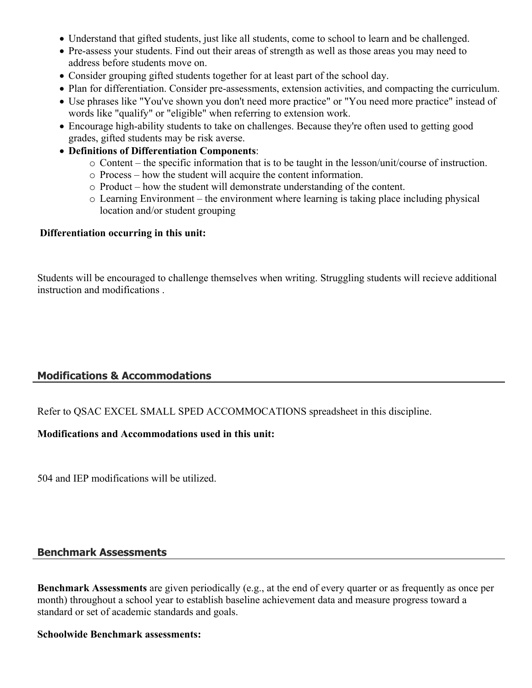- Understand that gifted students, just like all students, come to school to learn and be challenged.
- Pre-assess your students. Find out their areas of strength as well as those areas you may need to address before students move on.
- Consider grouping gifted students together for at least part of the school day.
- Plan for differentiation. Consider pre-assessments, extension activities, and compacting the curriculum.
- Use phrases like "You've shown you don't need more practice" or "You need more practice" instead of words like "qualify" or "eligible" when referring to extension work.
- Encourage high-ability students to take on challenges. Because they're often used to getting good grades, gifted students may be risk averse.
- **Definitions of Differentiation Components**:
	- o Content the specific information that is to be taught in the lesson/unit/course of instruction.
	- o Process how the student will acquire the content information.
	- o Product how the student will demonstrate understanding of the content.
	- $\circ$  Learning Environment the environment where learning is taking place including physical location and/or student grouping

#### **Differentiation occurring in this unit:**

Students will be encouraged to challenge themselves when writing. Struggling students will recieve additional instruction and modifications .

#### **Modifications & Accommodations**

Refer to QSAC EXCEL SMALL SPED ACCOMMOCATIONS spreadsheet in this discipline.

#### **Modifications and Accommodations used in this unit:**

504 and IEP modifications will be utilized.

#### **Benchmark Assessments**

**Benchmark Assessments** are given periodically (e.g., at the end of every quarter or as frequently as once per month) throughout a school year to establish baseline achievement data and measure progress toward a standard or set of academic standards and goals.

#### **Schoolwide Benchmark assessments:**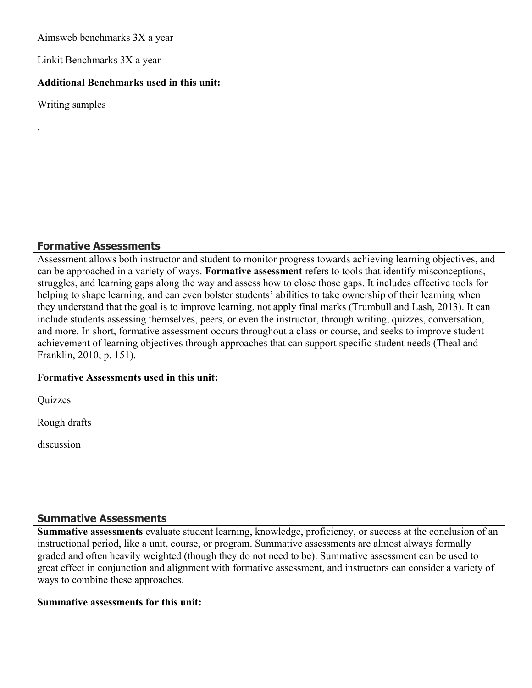Aimsweb benchmarks 3X a year

Linkit Benchmarks 3X a year

#### **Additional Benchmarks used in this unit:**

Writing samples

.

### **Formative Assessments**

Assessment allows both instructor and student to monitor progress towards achieving learning objectives, and can be approached in a variety of ways. **Formative assessment** refers to tools that identify misconceptions, struggles, and learning gaps along the way and assess how to close those gaps. It includes effective tools for helping to shape learning, and can even bolster students' abilities to take ownership of their learning when they understand that the goal is to improve learning, not apply final marks (Trumbull and Lash, 2013). It can include students assessing themselves, peers, or even the instructor, through writing, quizzes, conversation, and more. In short, formative assessment occurs throughout a class or course, and seeks to improve student achievement of learning objectives through approaches that can support specific student needs (Theal and Franklin, 2010, p. 151).

## **Formative Assessments used in this unit:**

**Quizzes** 

Rough drafts

discussion

#### **Summative Assessments**

**Summative assessments** evaluate student learning, knowledge, proficiency, or success at the conclusion of an instructional period, like a unit, course, or program. Summative assessments are almost always formally graded and often heavily weighted (though they do not need to be). Summative assessment can be used to great effect in conjunction and alignment with formative assessment, and instructors can consider a variety of ways to combine these approaches.

#### **Summative assessments for this unit:**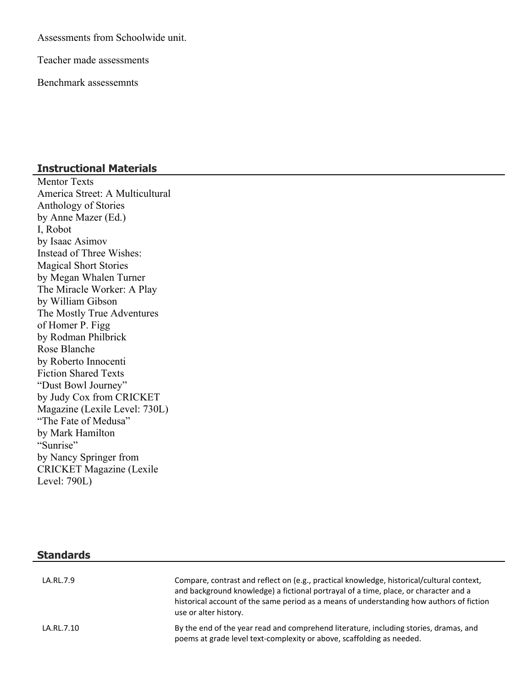Assessments from Schoolwide unit.

Teacher made assessments

Benchmark assessemnts

#### **Instructional Materials**

Mentor Texts America Street: A Multicultural Anthology of Stories by Anne Mazer (Ed.) I, Robot by Isaac Asimov Instead of Three Wishes: Magical Short Stories by Megan Whalen Turner The Miracle Worker: A Play by William Gibson The Mostly True Adventures of Homer P. Figg by Rodman Philbrick Rose Blanche by Roberto Innocenti Fiction Shared Texts "Dust Bowl Journey" by Judy Cox from CRICKET Magazine (Lexile Level: 730L) "The Fate of Medusa" by Mark Hamilton "Sunrise" by Nancy Springer from CRICKET Magazine (Lexile Level: 790L)

#### **Standards**

| LA.RL.7.9  | Compare, contrast and reflect on (e.g., practical knowledge, historical/cultural context,<br>and background knowledge) a fictional portrayal of a time, place, or character and a<br>historical account of the same period as a means of understanding how authors of fiction<br>use or alter history. |
|------------|--------------------------------------------------------------------------------------------------------------------------------------------------------------------------------------------------------------------------------------------------------------------------------------------------------|
| LA.RL.7.10 | By the end of the year read and comprehend literature, including stories, dramas, and<br>poems at grade level text-complexity or above, scaffolding as needed.                                                                                                                                         |